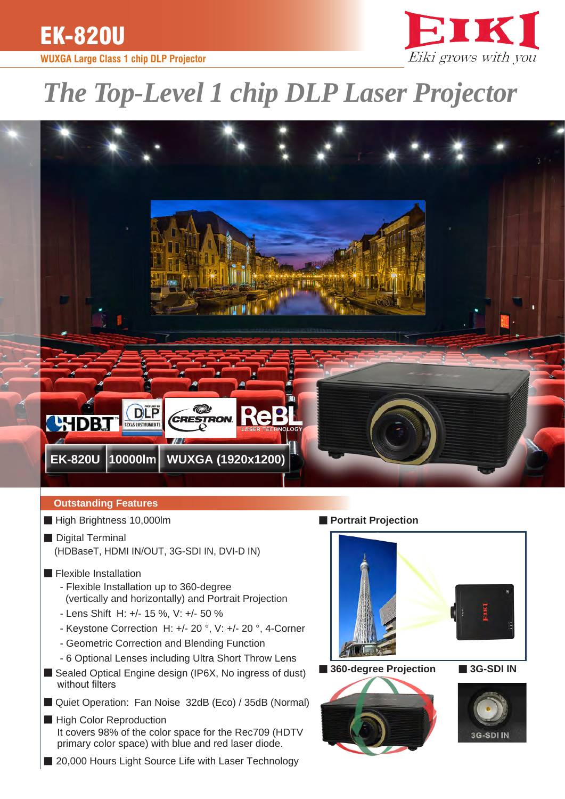EK-820U

# **WUXGA Large Class 1 chip DLP Projector**



# *The Top-Level 1 chip DLP Laser Projector*



# **Outstanding Features**

- High Brightness 10,000lm
- Digital Terminal (HDBaseT, HDMI IN/OUT, 3G-SDI IN, DVI-D IN)
- Flexible Installation
	- Flexible Installation up to 360-degree (vertically and horizontally) and Portrait Projection
	- Lens Shift H: +/- 15 %, V: +/- 50 %
	- Keystone Correction H: +/- 20 °, V: +/- 20 °, 4-Corner
	- Geometric Correction and Blending Function
	- 6 Optional Lenses including Ultra Short Throw Lens
- Sealed Optical Engine design (IP6X, No ingress of dust) without filters
- Quiet Operation: Fan Noise 32dB (Eco) / 35dB (Normal)
- High Color Reproduction It covers 98% of the color space for the Rec709 (HDTV primary color space) with blue and red laser diode.
- 20,000 Hours Light Source Life with Laser Technology

■ **Portrait Projection** 



■ **360-degree Projection** ■ **3G-SDI IN**